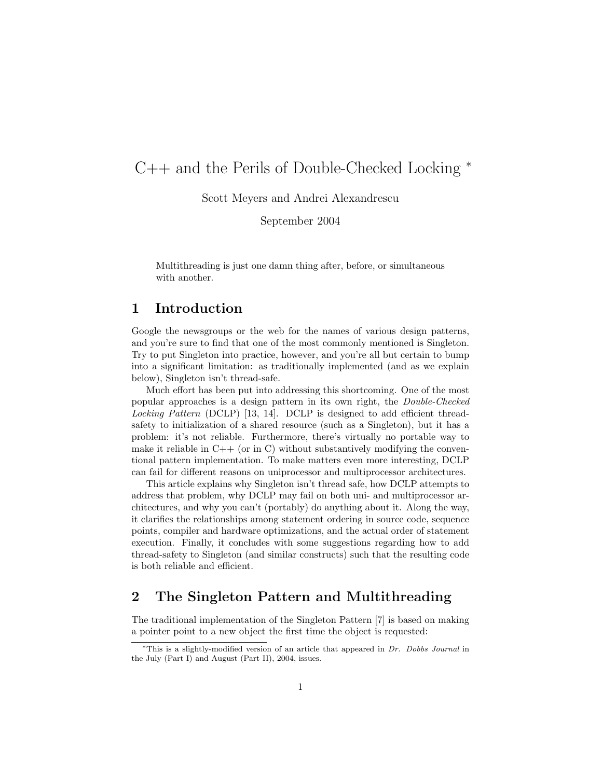# C++ and the Perils of Double-Checked Locking <sup>∗</sup>

Scott Meyers and Andrei Alexandrescu

September 2004

Multithreading is just one damn thing after, before, or simultaneous with another.

#### 1 Introduction

Google the newsgroups or the web for the names of various design patterns, and you're sure to find that one of the most commonly mentioned is Singleton. Try to put Singleton into practice, however, and you're all but certain to bump into a significant limitation: as traditionally implemented (and as we explain below), Singleton isn't thread-safe.

Much effort has been put into addressing this shortcoming. One of the most popular approaches is a design pattern in its own right, the Double-Checked Locking Pattern (DCLP) [13, 14]. DCLP is designed to add efficient threadsafety to initialization of a shared resource (such as a Singleton), but it has a problem: it's not reliable. Furthermore, there's virtually no portable way to make it reliable in  $C++$  (or in C) without substantively modifying the conventional pattern implementation. To make matters even more interesting, DCLP can fail for different reasons on uniprocessor and multiprocessor architectures.

This article explains why Singleton isn't thread safe, how DCLP attempts to address that problem, why DCLP may fail on both uni- and multiprocessor architectures, and why you can't (portably) do anything about it. Along the way, it clarifies the relationships among statement ordering in source code, sequence points, compiler and hardware optimizations, and the actual order of statement execution. Finally, it concludes with some suggestions regarding how to add thread-safety to Singleton (and similar constructs) such that the resulting code is both reliable and efficient.

## 2 The Singleton Pattern and Multithreading

The traditional implementation of the Singleton Pattern [7] is based on making a pointer point to a new object the first time the object is requested:

 $*$ This is a slightly-modified version of an article that appeared in Dr. Dobbs Journal in the July (Part I) and August (Part II), 2004, issues.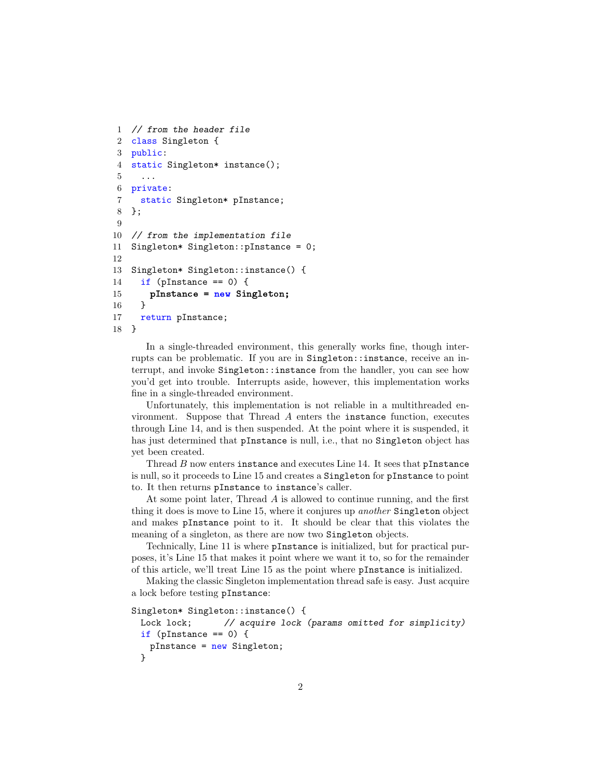```
1 // from the header file
2 class Singleton {
3 public:
4 static Singleton* instance();
5 ...
6 private:
7 static Singleton* pInstance;
8 };
9
10 // from the implementation file
11 Singleton* Singleton::pInstance = 0;
12
13 Singleton* Singleton::instance() {
14 if (pInstance == 0) {
15 pInstance = new Singleton;
16 }
17 return pInstance;
18 }
```
In a single-threaded environment, this generally works fine, though interrupts can be problematic. If you are in Singleton::instance, receive an interrupt, and invoke Singleton::instance from the handler, you can see how you'd get into trouble. Interrupts aside, however, this implementation works fine in a single-threaded environment.

Unfortunately, this implementation is not reliable in a multithreaded environment. Suppose that Thread A enters the instance function, executes through Line 14, and is then suspended. At the point where it is suspended, it has just determined that pInstance is null, i.e., that no Singleton object has yet been created.

Thread  $B$  now enters instance and executes Line 14. It sees that pInstance is null, so it proceeds to Line 15 and creates a Singleton for pInstance to point to. It then returns pInstance to instance's caller.

At some point later, Thread A is allowed to continue running, and the first thing it does is move to Line 15, where it conjures up another Singleton object and makes pInstance point to it. It should be clear that this violates the meaning of a singleton, as there are now two Singleton objects.

Technically, Line 11 is where pInstance is initialized, but for practical purposes, it's Line 15 that makes it point where we want it to, so for the remainder of this article, we'll treat Line 15 as the point where pInstance is initialized.

Making the classic Singleton implementation thread safe is easy. Just acquire a lock before testing pInstance:

```
Singleton* Singleton::instance() {
 Lock lock; // acquire lock (params omitted for simplicity)
 if (pInstance == 0) {
   pInstance = new Singleton;
 }
```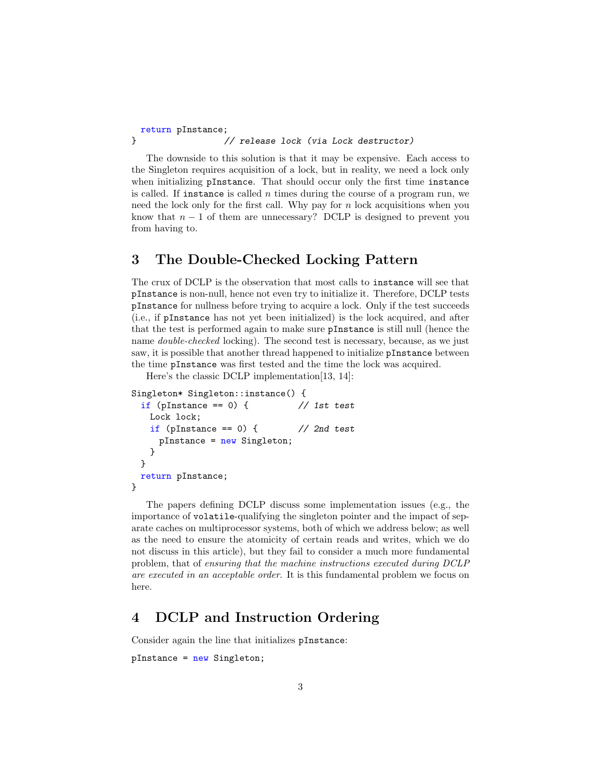return pInstance; } // release lock (via Lock destructor)

The downside to this solution is that it may be expensive. Each access to the Singleton requires acquisition of a lock, but in reality, we need a lock only when initializing pInstance. That should occur only the first time instance is called. If instance is called  $n$  times during the course of a program run, we need the lock only for the first call. Why pay for  $n$  lock acquisitions when you know that  $n-1$  of them are unnecessary? DCLP is designed to prevent you from having to.

## 3 The Double-Checked Locking Pattern

The crux of DCLP is the observation that most calls to instance will see that pInstance is non-null, hence not even try to initialize it. Therefore, DCLP tests pInstance for nullness before trying to acquire a lock. Only if the test succeeds (i.e., if pInstance has not yet been initialized) is the lock acquired, and after that the test is performed again to make sure pInstance is still null (hence the name *double-checked* locking). The second test is necessary, because, as we just saw, it is possible that another thread happened to initialize pInstance between the time pInstance was first tested and the time the lock was acquired.

Here's the classic DCLP implementation[13, 14]:

```
Singleton* Singleton::instance() {
 if (pInstance == 0) { // 1st test
   Lock lock;
   if (pInstance == 0) { // 2nd testpInstance = new Singleton;
   }
 }
 return pInstance;
}
```
The papers defining DCLP discuss some implementation issues (e.g., the importance of volatile-qualifying the singleton pointer and the impact of separate caches on multiprocessor systems, both of which we address below; as well as the need to ensure the atomicity of certain reads and writes, which we do not discuss in this article), but they fail to consider a much more fundamental problem, that of ensuring that the machine instructions executed during DCLP are executed in an acceptable order. It is this fundamental problem we focus on here.

## 4 DCLP and Instruction Ordering

Consider again the line that initializes pInstance:

pInstance = new Singleton;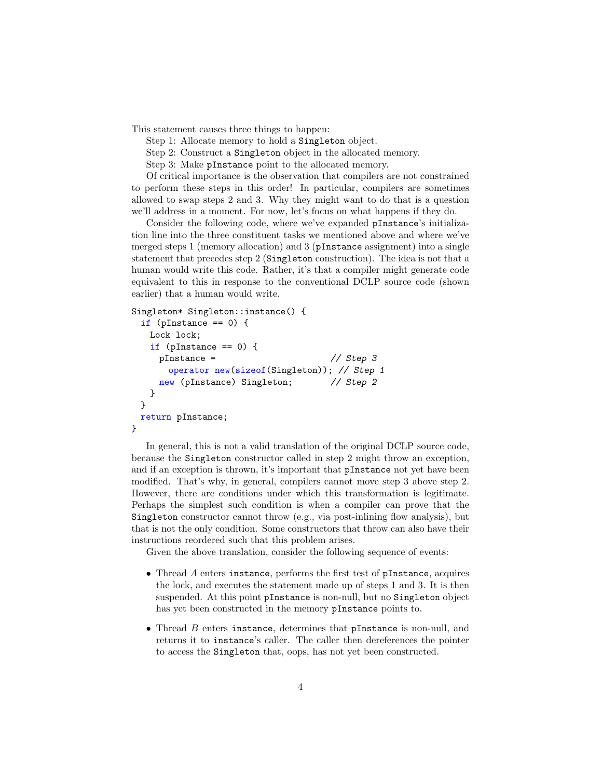This statement causes three things to happen:

Step 1: Allocate memory to hold a Singleton object.

Step 2: Construct a Singleton object in the allocated memory.

Step 3: Make pInstance point to the allocated memory.

Of critical importance is the observation that compilers are not constrained to perform these steps in this order! In particular, compilers are sometimes allowed to swap steps 2 and 3. Why they might want to do that is a question we'll address in a moment. For now, let's focus on what happens if they do.

Consider the following code, where we've expanded pInstance's initialization line into the three constituent tasks we mentioned above and where we've merged steps 1 (memory allocation) and 3 (pInstance assignment) into a single statement that precedes step 2 (Singleton construction). The idea is not that a human would write this code. Rather, it's that a compiler might generate code equivalent to this in response to the conventional DCLP source code (shown earlier) that a human would write.

```
Singleton* Singleton::instance() {
```

```
if (pInstance == 0) {
   Lock lock;
   if (pInstance == 0) {
    pInstance = // Step 3
      operator new(sizeof(Singleton)); // Step 1
    new (pInstance) Singleton; // Step 2
   }
 }
 return pInstance;
}
```
In general, this is not a valid translation of the original DCLP source code, because the Singleton constructor called in step 2 might throw an exception, and if an exception is thrown, it's important that pInstance not yet have been modified. That's why, in general, compilers cannot move step 3 above step 2. However, there are conditions under which this transformation is legitimate. Perhaps the simplest such condition is when a compiler can prove that the Singleton constructor cannot throw (e.g., via post-inlining flow analysis), but that is not the only condition. Some constructors that throw can also have their instructions reordered such that this problem arises.

Given the above translation, consider the following sequence of events:

- Thread A enters instance, performs the first test of pInstance, acquires the lock, and executes the statement made up of steps 1 and 3. It is then suspended. At this point pInstance is non-null, but no Singleton object has yet been constructed in the memory pInstance points to.
- Thread B enters instance, determines that pInstance is non-null, and returns it to instance's caller. The caller then dereferences the pointer to access the Singleton that, oops, has not yet been constructed.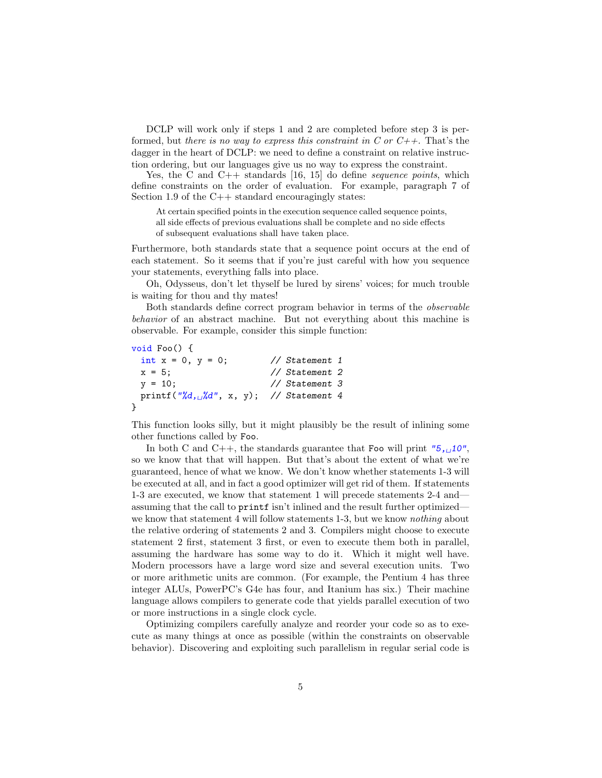DCLP will work only if steps 1 and 2 are completed before step 3 is performed, but there is no way to express this constraint in C or  $C_{++}$ . That's the dagger in the heart of DCLP: we need to define a constraint on relative instruction ordering, but our languages give us no way to express the constraint.

Yes, the C and  $C++$  standards [16, 15] do define *sequence points*, which define constraints on the order of evaluation. For example, paragraph 7 of Section 1.9 of the  $C_{++}$  standard encouragingly states:

At certain specified points in the execution sequence called sequence points, all side effects of previous evaluations shall be complete and no side effects of subsequent evaluations shall have taken place.

Furthermore, both standards state that a sequence point occurs at the end of each statement. So it seems that if you're just careful with how you sequence your statements, everything falls into place.

Oh, Odysseus, don't let thyself be lured by sirens' voices; for much trouble is waiting for thou and thy mates!

Both standards define correct program behavior in terms of the observable behavior of an abstract machine. But not everything about this machine is observable. For example, consider this simple function:

```
void Foo() {
 int x = 0, y = 0; // Statement 1
 x = 5; \frac{7}{5} Statement 2
 y = 10; // Statement 3
 printf("%d, \frac{d}{d}", x, y); // Statement 4
}
```
This function looks silly, but it might plausibly be the result of inlining some other functions called by Foo.

In both C and C++, the standards guarantee that Foo will print " $5,10$ ", so we know that that will happen. But that's about the extent of what we're guaranteed, hence of what we know. We don't know whether statements 1-3 will be executed at all, and in fact a good optimizer will get rid of them. If statements 1-3 are executed, we know that statement 1 will precede statements 2-4 and assuming that the call to printf isn't inlined and the result further optimized we know that statement 4 will follow statements 1-3, but we know *nothing* about the relative ordering of statements 2 and 3. Compilers might choose to execute statement 2 first, statement 3 first, or even to execute them both in parallel, assuming the hardware has some way to do it. Which it might well have. Modern processors have a large word size and several execution units. Two or more arithmetic units are common. (For example, the Pentium 4 has three integer ALUs, PowerPC's G4e has four, and Itanium has six.) Their machine language allows compilers to generate code that yields parallel execution of two or more instructions in a single clock cycle.

Optimizing compilers carefully analyze and reorder your code so as to execute as many things at once as possible (within the constraints on observable behavior). Discovering and exploiting such parallelism in regular serial code is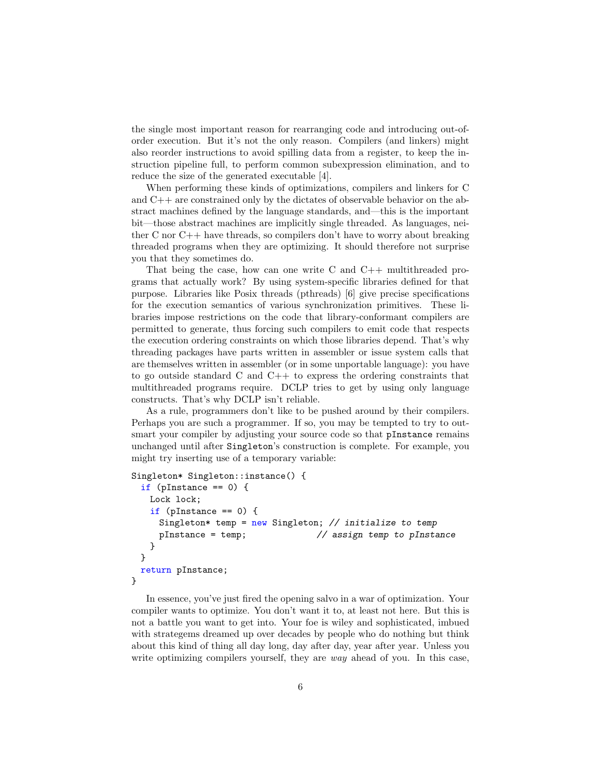the single most important reason for rearranging code and introducing out-oforder execution. But it's not the only reason. Compilers (and linkers) might also reorder instructions to avoid spilling data from a register, to keep the instruction pipeline full, to perform common subexpression elimination, and to reduce the size of the generated executable [4].

When performing these kinds of optimizations, compilers and linkers for C and C++ are constrained only by the dictates of observable behavior on the abstract machines defined by the language standards, and—this is the important bit—those abstract machines are implicitly single threaded. As languages, neither C nor  $C_{++}$  have threads, so compilers don't have to worry about breaking threaded programs when they are optimizing. It should therefore not surprise you that they sometimes do.

That being the case, how can one write C and C++ multithreaded programs that actually work? By using system-specific libraries defined for that purpose. Libraries like Posix threads (pthreads) [6] give precise specifications for the execution semantics of various synchronization primitives. These libraries impose restrictions on the code that library-conformant compilers are permitted to generate, thus forcing such compilers to emit code that respects the execution ordering constraints on which those libraries depend. That's why threading packages have parts written in assembler or issue system calls that are themselves written in assembler (or in some unportable language): you have to go outside standard C and  $C_{++}$  to express the ordering constraints that multithreaded programs require. DCLP tries to get by using only language constructs. That's why DCLP isn't reliable.

As a rule, programmers don't like to be pushed around by their compilers. Perhaps you are such a programmer. If so, you may be tempted to try to outsmart your compiler by adjusting your source code so that pInstance remains unchanged until after Singleton's construction is complete. For example, you might try inserting use of a temporary variable:

```
Singleton* Singleton::instance() {
 if (pInstance == 0) {
   Lock lock;
   if (pInstance == 0) {
     Singleton* temp = new Singleton; // initialize to temp
     pInstance = temp; // assign temp to pInstance
   }
 }
 return pInstance;
}
```
In essence, you've just fired the opening salvo in a war of optimization. Your compiler wants to optimize. You don't want it to, at least not here. But this is not a battle you want to get into. Your foe is wiley and sophisticated, imbued with strategems dreamed up over decades by people who do nothing but think about this kind of thing all day long, day after day, year after year. Unless you write optimizing compilers yourself, they are *way* ahead of you. In this case,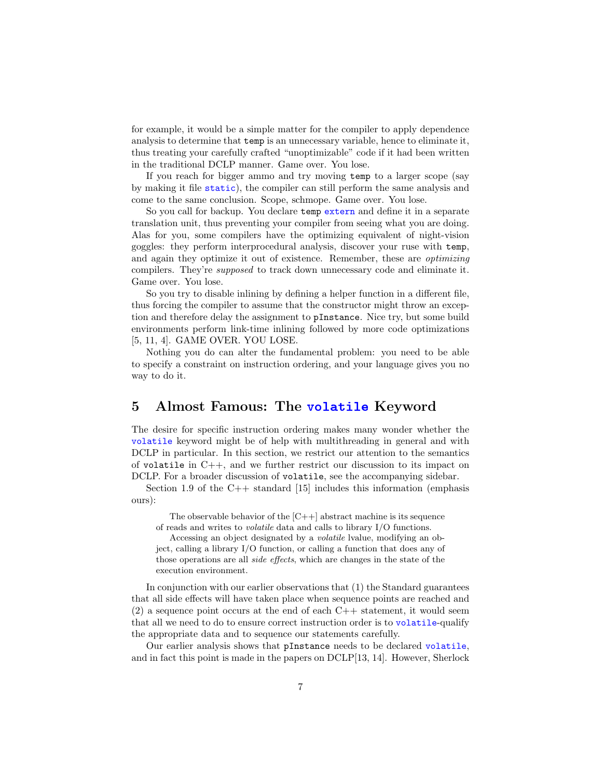for example, it would be a simple matter for the compiler to apply dependence analysis to determine that temp is an unnecessary variable, hence to eliminate it, thus treating your carefully crafted "unoptimizable" code if it had been written in the traditional DCLP manner. Game over. You lose.

If you reach for bigger ammo and try moving temp to a larger scope (say by making it file static), the compiler can still perform the same analysis and come to the same conclusion. Scope, schmope. Game over. You lose.

So you call for backup. You declare temp extern and define it in a separate translation unit, thus preventing your compiler from seeing what you are doing. Alas for you, some compilers have the optimizing equivalent of night-vision goggles: they perform interprocedural analysis, discover your ruse with temp, and again they optimize it out of existence. Remember, these are optimizing compilers. They're supposed to track down unnecessary code and eliminate it. Game over. You lose.

So you try to disable inlining by defining a helper function in a different file, thus forcing the compiler to assume that the constructor might throw an exception and therefore delay the assignment to pInstance. Nice try, but some build environments perform link-time inlining followed by more code optimizations [5, 11, 4]. GAME OVER. YOU LOSE.

Nothing you do can alter the fundamental problem: you need to be able to specify a constraint on instruction ordering, and your language gives you no way to do it.

#### 5 Almost Famous: The volatile Keyword

The desire for specific instruction ordering makes many wonder whether the volatile keyword might be of help with multithreading in general and with DCLP in particular. In this section, we restrict our attention to the semantics of volatile in C++, and we further restrict our discussion to its impact on DCLP. For a broader discussion of volatile, see the accompanying sidebar.

Section 1.9 of the  $C++$  standard [15] includes this information (emphasis ours):

The observable behavior of the  $|C|$  abstract machine is its sequence of reads and writes to volatile data and calls to library I/O functions.

Accessing an object designated by a volatile lvalue, modifying an object, calling a library I/O function, or calling a function that does any of those operations are all side effects, which are changes in the state of the execution environment.

In conjunction with our earlier observations that (1) the Standard guarantees that all side effects will have taken place when sequence points are reached and  $(2)$  a sequence point occurs at the end of each C++ statement, it would seem that all we need to do to ensure correct instruction order is to volatile-qualify the appropriate data and to sequence our statements carefully.

Our earlier analysis shows that pInstance needs to be declared volatile, and in fact this point is made in the papers on DCLP[13, 14]. However, Sherlock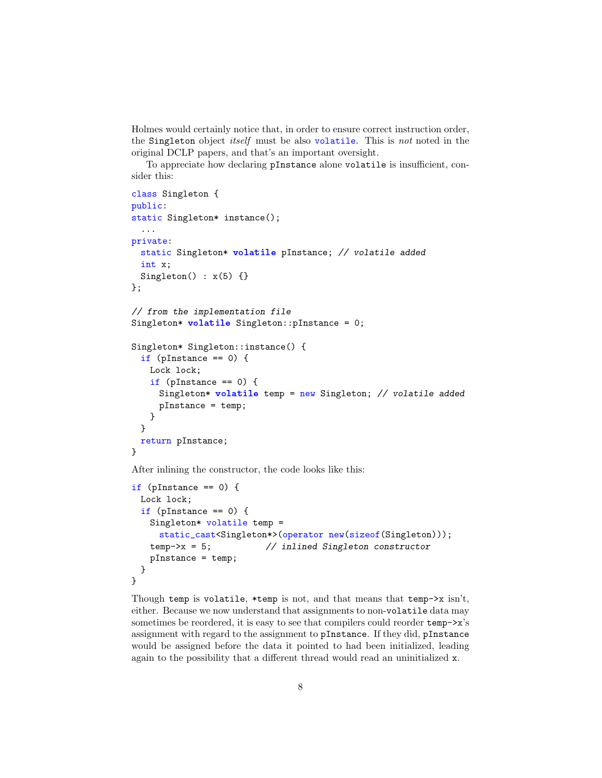Holmes would certainly notice that, in order to ensure correct instruction order, the Singleton object itself must be also volatile. This is not noted in the original DCLP papers, and that's an important oversight.

To appreciate how declaring pInstance alone volatile is insufficient, consider this:

```
class Singleton {
public:
static Singleton* instance();
 ...
private:
 static Singleton* volatile pInstance; // volatile added
 int x;
 Singleton() : x(5) {}
};
// from the implementation file
Singleton* volatile Singleton::pInstance = 0;
Singleton* Singleton::instance() {
 if (pInstance == 0) {
   Lock lock;
   if (pInstance == 0) {
     Singleton* volatile temp = new Singleton; // volatile added
     pInstance = temp;
   }
 }
 return pInstance;
}
```
After inlining the constructor, the code looks like this:

```
if (pInstance == 0) {
 Lock lock;
 if (pInstance == 0) {
   Singleton* volatile temp =
     static_cast<Singleton*>(operator new(sizeof(Singleton)));
   temp->x = 5; // inlined Singleton constructor
   pInstance = temp;
 }
}
```
Though temp is volatile, \*temp is not, and that means that temp- $>x \sin't$ , either. Because we now understand that assignments to non-volatile data may sometimes be reordered, it is easy to see that compilers could reorder  $temp->x$ 's assignment with regard to the assignment to pInstance. If they did, pInstance would be assigned before the data it pointed to had been initialized, leading again to the possibility that a different thread would read an uninitialized x.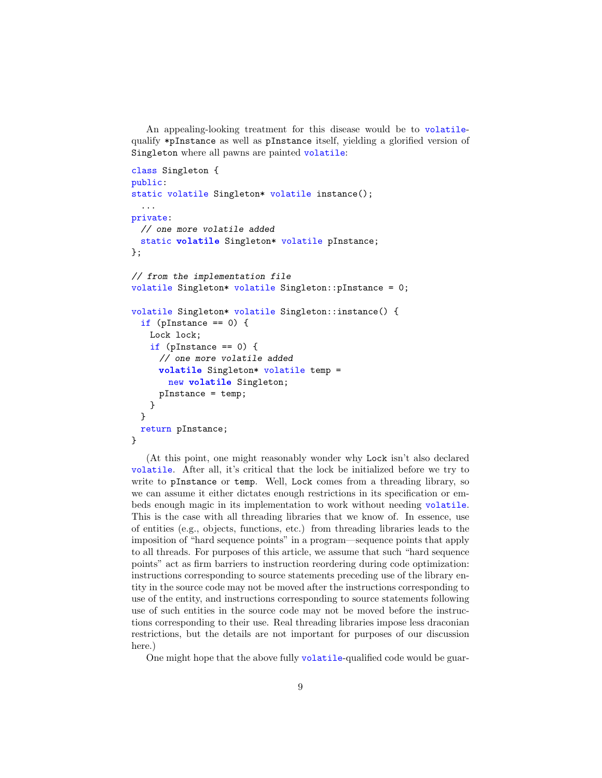An appealing-looking treatment for this disease would be to volatilequalify \*pInstance as well as pInstance itself, yielding a glorified version of Singleton where all pawns are painted volatile:

```
class Singleton {
public:
static volatile Singleton* volatile instance();
  ...
private:
 // one more volatile added
 static volatile Singleton* volatile pInstance;
};
// from the implementation file
volatile Singleton* volatile Singleton::pInstance = 0;
volatile Singleton* volatile Singleton::instance() {
 if (pInstance == 0) {
   Lock lock;
   if (pInstance == 0) {
     // one more volatile added
     volatile Singleton* volatile temp =
       new volatile Singleton;
     pInstance = temp;
   }
 }
 return pInstance;
}
```
(At this point, one might reasonably wonder why Lock isn't also declared volatile. After all, it's critical that the lock be initialized before we try to write to pInstance or temp. Well, Lock comes from a threading library, so we can assume it either dictates enough restrictions in its specification or embeds enough magic in its implementation to work without needing volatile. This is the case with all threading libraries that we know of. In essence, use of entities (e.g., objects, functions, etc.) from threading libraries leads to the imposition of "hard sequence points" in a program—sequence points that apply to all threads. For purposes of this article, we assume that such "hard sequence points" act as firm barriers to instruction reordering during code optimization: instructions corresponding to source statements preceding use of the library entity in the source code may not be moved after the instructions corresponding to use of the entity, and instructions corresponding to source statements following use of such entities in the source code may not be moved before the instructions corresponding to their use. Real threading libraries impose less draconian restrictions, but the details are not important for purposes of our discussion here.)

One might hope that the above fully volatile-qualified code would be guar-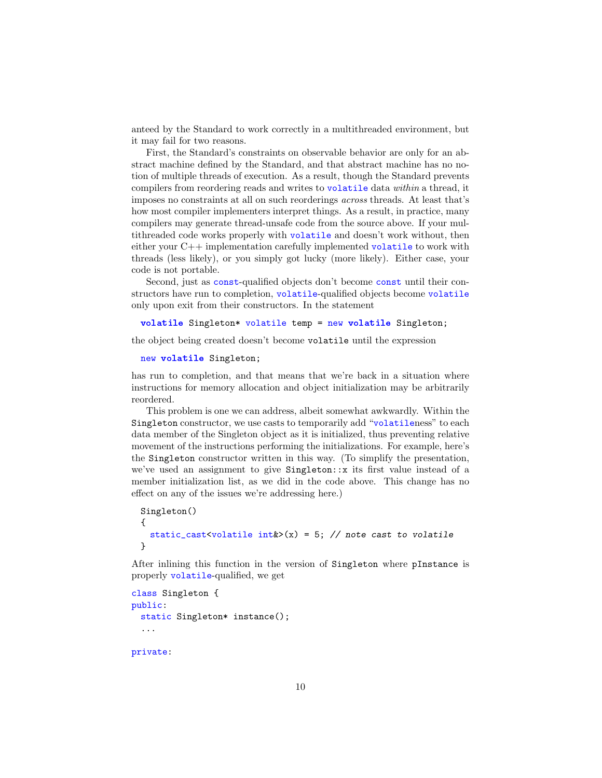anteed by the Standard to work correctly in a multithreaded environment, but it may fail for two reasons.

First, the Standard's constraints on observable behavior are only for an abstract machine defined by the Standard, and that abstract machine has no notion of multiple threads of execution. As a result, though the Standard prevents compilers from reordering reads and writes to volatile data within a thread, it imposes no constraints at all on such reorderings across threads. At least that's how most compiler implementers interpret things. As a result, in practice, many compilers may generate thread-unsafe code from the source above. If your multithreaded code works properly with volatile and doesn't work without, then either your C++ implementation carefully implemented volatile to work with threads (less likely), or you simply got lucky (more likely). Either case, your code is not portable.

Second, just as const-qualified objects don't become const until their constructors have run to completion, volatile-qualified objects become volatile only upon exit from their constructors. In the statement

```
volatile Singleton* volatile temp = new volatile Singleton;
```
the object being created doesn't become volatile until the expression

```
new volatile Singleton;
```
has run to completion, and that means that we're back in a situation where instructions for memory allocation and object initialization may be arbitrarily reordered.

This problem is one we can address, albeit somewhat awkwardly. Within the Singleton constructor, we use casts to temporarily add "volatileness" to each data member of the Singleton object as it is initialized, thus preventing relative movement of the instructions performing the initializations. For example, here's the Singleton constructor written in this way. (To simplify the presentation, we've used an assignment to give Singleton::x its first value instead of a member initialization list, as we did in the code above. This change has no effect on any of the issues we're addressing here.)

```
Singleton()
{
 static_cast<volatile int\&>(x) = 5; // note cast to volatile
}
```
After inlining this function in the version of Singleton where pInstance is properly volatile-qualified, we get

```
class Singleton {
public:
 static Singleton* instance();
  ...
```
private: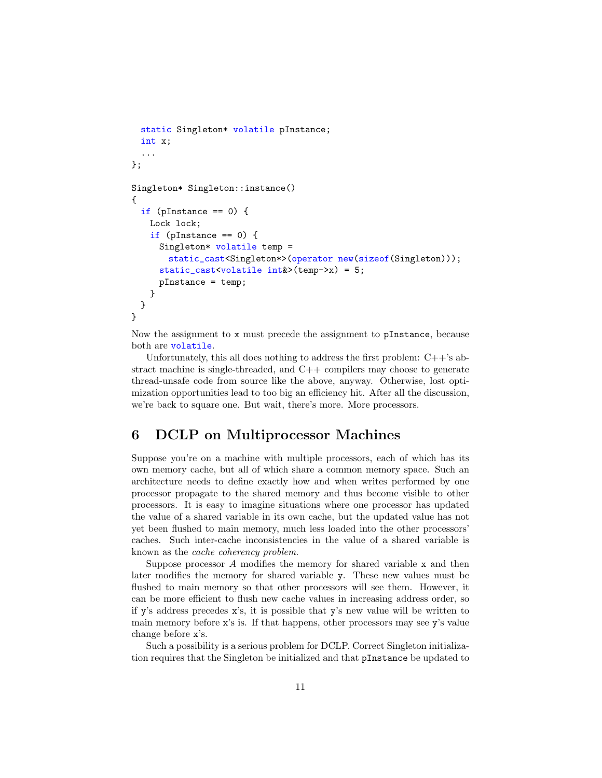```
static Singleton* volatile pInstance;
 int x;
  ...
};
Singleton* Singleton::instance()
{
 if (pInstance == 0) {
   Lock lock;
   if (pInstance == 0) {
     Singleton* volatile temp =
       static_cast<Singleton*>(operator new(sizeof(Singleton)));
     static_cast<volatile int&>(temp->x) = 5;
     pInstance = temp;
   }
 }
}
```
Now the assignment to x must precede the assignment to pInstance, because both are volatile.

Unfortunately, this all does nothing to address the first problem:  $C++$ 's abstract machine is single-threaded, and C++ compilers may choose to generate thread-unsafe code from source like the above, anyway. Otherwise, lost optimization opportunities lead to too big an efficiency hit. After all the discussion, we're back to square one. But wait, there's more. More processors.

## 6 DCLP on Multiprocessor Machines

Suppose you're on a machine with multiple processors, each of which has its own memory cache, but all of which share a common memory space. Such an architecture needs to define exactly how and when writes performed by one processor propagate to the shared memory and thus become visible to other processors. It is easy to imagine situations where one processor has updated the value of a shared variable in its own cache, but the updated value has not yet been flushed to main memory, much less loaded into the other processors' caches. Such inter-cache inconsistencies in the value of a shared variable is known as the cache coherency problem.

Suppose processor  $A$  modifies the memory for shared variable  $x$  and then later modifies the memory for shared variable y. These new values must be flushed to main memory so that other processors will see them. However, it can be more efficient to flush new cache values in increasing address order, so if y's address precedes x's, it is possible that y's new value will be written to main memory before x's is. If that happens, other processors may see y's value change before x's.

Such a possibility is a serious problem for DCLP. Correct Singleton initialization requires that the Singleton be initialized and that pInstance be updated to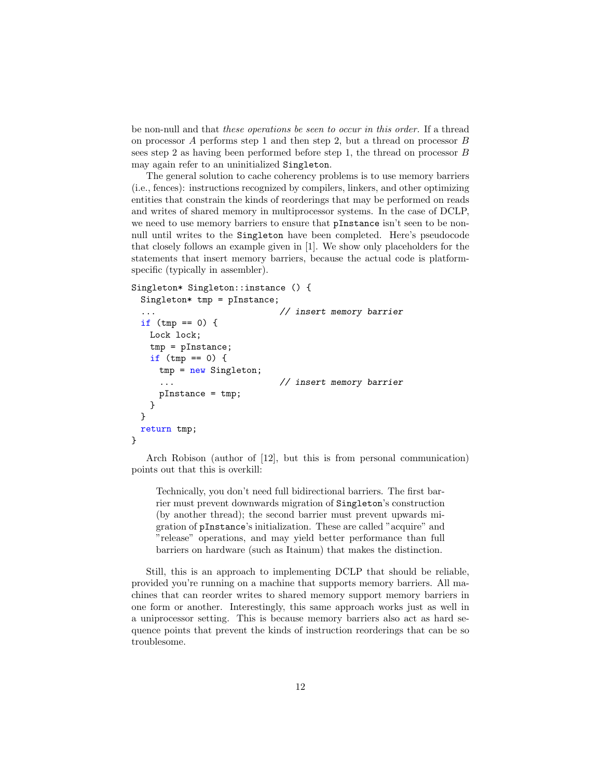be non-null and that these operations be seen to occur in this order. If a thread on processor A performs step 1 and then step 2, but a thread on processor B sees step 2 as having been performed before step 1, the thread on processor B may again refer to an uninitialized Singleton.

The general solution to cache coherency problems is to use memory barriers (i.e., fences): instructions recognized by compilers, linkers, and other optimizing entities that constrain the kinds of reorderings that may be performed on reads and writes of shared memory in multiprocessor systems. In the case of DCLP, we need to use memory barriers to ensure that pInstance isn't seen to be nonnull until writes to the Singleton have been completed. Here's pseudocode that closely follows an example given in [1]. We show only placeholders for the statements that insert memory barriers, because the actual code is platformspecific (typically in assembler).

```
Singleton* Singleton::instance () {
```

```
Singleton* tmp = pInstance;
```

```
... // insert memory barrier
 if (tmp == 0) {
   Lock lock;
   tmp = pInstance;
   if (tmp == 0) {
     tmp = new Singleton;
                          // insert memory barrier
     pInstance = tmp;
   }
 }
 return tmp;
}
```
Arch Robison (author of [12], but this is from personal communication) points out that this is overkill:

Technically, you don't need full bidirectional barriers. The first barrier must prevent downwards migration of Singleton's construction (by another thread); the second barrier must prevent upwards migration of pInstance's initialization. These are called "acquire" and "release" operations, and may yield better performance than full barriers on hardware (such as Itainum) that makes the distinction.

Still, this is an approach to implementing DCLP that should be reliable, provided you're running on a machine that supports memory barriers. All machines that can reorder writes to shared memory support memory barriers in one form or another. Interestingly, this same approach works just as well in a uniprocessor setting. This is because memory barriers also act as hard sequence points that prevent the kinds of instruction reorderings that can be so troublesome.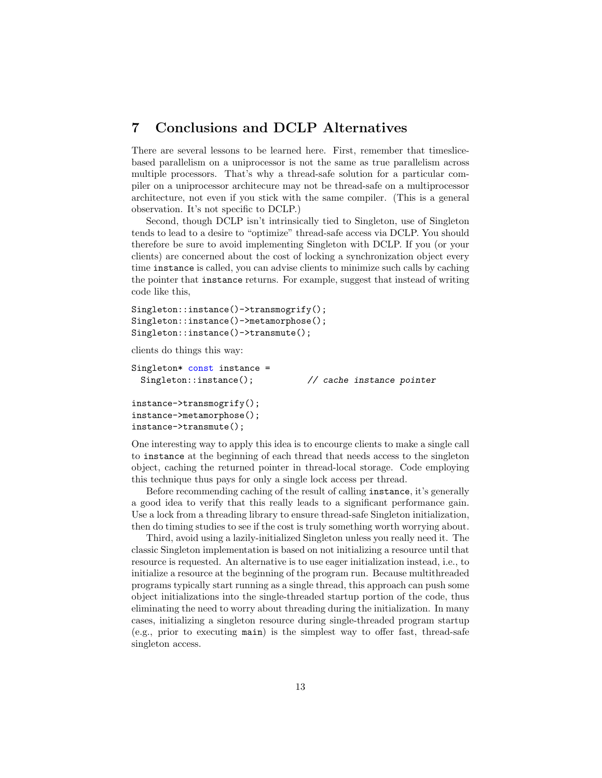#### 7 Conclusions and DCLP Alternatives

There are several lessons to be learned here. First, remember that timeslicebased parallelism on a uniprocessor is not the same as true parallelism across multiple processors. That's why a thread-safe solution for a particular compiler on a uniprocessor architecure may not be thread-safe on a multiprocessor architecture, not even if you stick with the same compiler. (This is a general observation. It's not specific to DCLP.)

Second, though DCLP isn't intrinsically tied to Singleton, use of Singleton tends to lead to a desire to "optimize" thread-safe access via DCLP. You should therefore be sure to avoid implementing Singleton with DCLP. If you (or your clients) are concerned about the cost of locking a synchronization object every time instance is called, you can advise clients to minimize such calls by caching the pointer that instance returns. For example, suggest that instead of writing code like this,

```
Singleton::instance()->transmogrify();
Singleton::instance()->metamorphose();
Singleton::instance()->transmute();
```
clients do things this way:

```
Singleton* const instance =
 Singleton::instance(); \frac{1}{2} // cache instance pointer
instance->transmogrify();
instance->metamorphose();
instance->transmute();
```
One interesting way to apply this idea is to encourge clients to make a single call to instance at the beginning of each thread that needs access to the singleton object, caching the returned pointer in thread-local storage. Code employing this technique thus pays for only a single lock access per thread.

Before recommending caching of the result of calling instance, it's generally a good idea to verify that this really leads to a significant performance gain. Use a lock from a threading library to ensure thread-safe Singleton initialization, then do timing studies to see if the cost is truly something worth worrying about.

Third, avoid using a lazily-initialized Singleton unless you really need it. The classic Singleton implementation is based on not initializing a resource until that resource is requested. An alternative is to use eager initialization instead, i.e., to initialize a resource at the beginning of the program run. Because multithreaded programs typically start running as a single thread, this approach can push some object initializations into the single-threaded startup portion of the code, thus eliminating the need to worry about threading during the initialization. In many cases, initializing a singleton resource during single-threaded program startup (e.g., prior to executing main) is the simplest way to offer fast, thread-safe singleton access.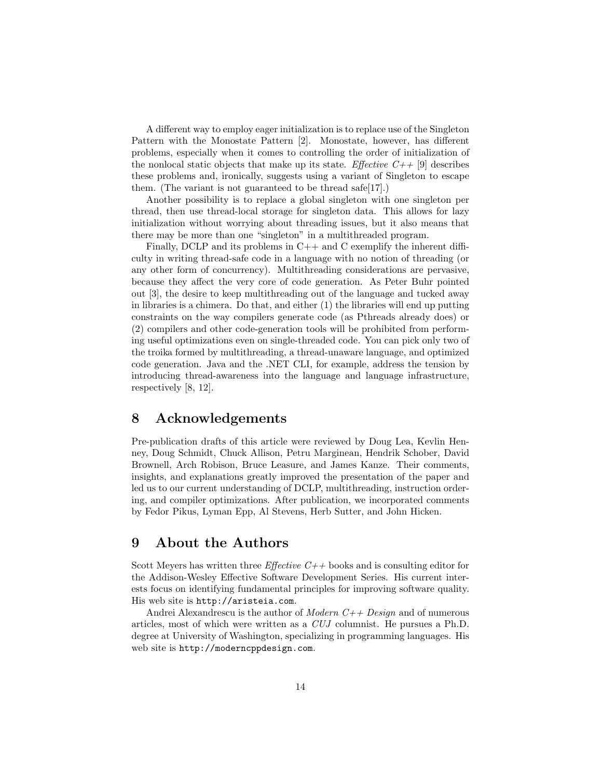A different way to employ eager initialization is to replace use of the Singleton Pattern with the Monostate Pattern [2]. Monostate, however, has different problems, especially when it comes to controlling the order of initialization of the nonlocal static objects that make up its state. Effective  $C_{++}$  [9] describes these problems and, ironically, suggests using a variant of Singleton to escape them. (The variant is not guaranteed to be thread safe[17].)

Another possibility is to replace a global singleton with one singleton per thread, then use thread-local storage for singleton data. This allows for lazy initialization without worrying about threading issues, but it also means that there may be more than one "singleton" in a multithreaded program.

Finally, DCLP and its problems in  $C++$  and C exemplify the inherent difficulty in writing thread-safe code in a language with no notion of threading (or any other form of concurrency). Multithreading considerations are pervasive, because they affect the very core of code generation. As Peter Buhr pointed out [3], the desire to keep multithreading out of the language and tucked away in libraries is a chimera. Do that, and either (1) the libraries will end up putting constraints on the way compilers generate code (as Pthreads already does) or (2) compilers and other code-generation tools will be prohibited from performing useful optimizations even on single-threaded code. You can pick only two of the troika formed by multithreading, a thread-unaware language, and optimized code generation. Java and the .NET CLI, for example, address the tension by introducing thread-awareness into the language and language infrastructure, respectively [8, 12].

### 8 Acknowledgements

Pre-publication drafts of this article were reviewed by Doug Lea, Kevlin Henney, Doug Schmidt, Chuck Allison, Petru Marginean, Hendrik Schober, David Brownell, Arch Robison, Bruce Leasure, and James Kanze. Their comments, insights, and explanations greatly improved the presentation of the paper and led us to our current understanding of DCLP, multithreading, instruction ordering, and compiler optimizations. After publication, we incorporated comments by Fedor Pikus, Lyman Epp, Al Stevens, Herb Sutter, and John Hicken.

#### 9 About the Authors

Scott Meyers has written three *Effective C++* books and is consulting editor for the Addison-Wesley Effective Software Development Series. His current interests focus on identifying fundamental principles for improving software quality. His web site is http://aristeia.com.

Andrei Alexandrescu is the author of *Modern C++ Design* and of numerous articles, most of which were written as a CUJ columnist. He pursues a Ph.D. degree at University of Washington, specializing in programming languages. His web site is http://moderncppdesign.com.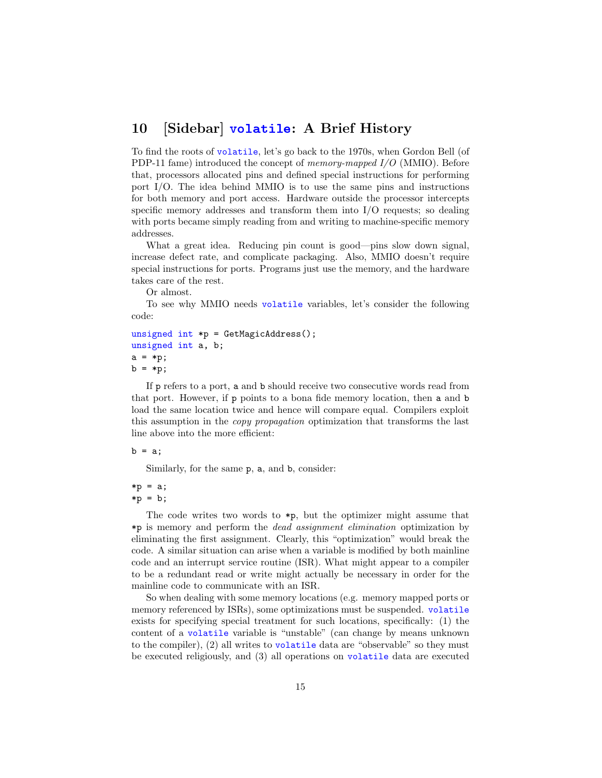## 10 [Sidebar] volatile: A Brief History

To find the roots of volatile, let's go back to the 1970s, when Gordon Bell (of PDP-11 fame) introduced the concept of memory-mapped I/O (MMIO). Before that, processors allocated pins and defined special instructions for performing port I/O. The idea behind MMIO is to use the same pins and instructions for both memory and port access. Hardware outside the processor intercepts specific memory addresses and transform them into I/O requests; so dealing with ports became simply reading from and writing to machine-specific memory addresses.

What a great idea. Reducing pin count is good—pins slow down signal, increase defect rate, and complicate packaging. Also, MMIO doesn't require special instructions for ports. Programs just use the memory, and the hardware takes care of the rest.

Or almost.

To see why MMIO needs volatile variables, let's consider the following code:

```
unsigned int *p = GetMagicAddress();
unsigned int a, b;
a = *p;b = *p;
```
If p refers to a port, a and b should receive two consecutive words read from that port. However, if p points to a bona fide memory location, then a and b load the same location twice and hence will compare equal. Compilers exploit this assumption in the copy propagation optimization that transforms the last line above into the more efficient:

 $b = a$ ;

Similarly, for the same p, a, and b, consider:

 $*p = a;$  $*p = b;$ 

The code writes two words to  $\ast_{p}$ , but the optimizer might assume that \*p is memory and perform the dead assignment elimination optimization by eliminating the first assignment. Clearly, this "optimization" would break the code. A similar situation can arise when a variable is modified by both mainline code and an interrupt service routine (ISR). What might appear to a compiler to be a redundant read or write might actually be necessary in order for the mainline code to communicate with an ISR.

So when dealing with some memory locations (e.g. memory mapped ports or memory referenced by ISRs), some optimizations must be suspended. volatile exists for specifying special treatment for such locations, specifically: (1) the content of a volatile variable is "unstable" (can change by means unknown to the compiler), (2) all writes to volatile data are "observable" so they must be executed religiously, and (3) all operations on volatile data are executed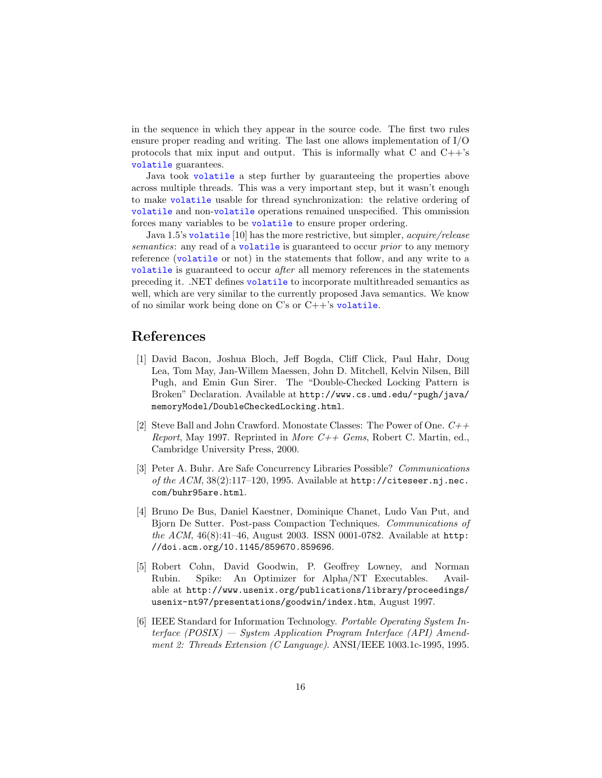in the sequence in which they appear in the source code. The first two rules ensure proper reading and writing. The last one allows implementation of I/O protocols that mix input and output. This is informally what  $C$  and  $C++s$ volatile guarantees.

Java took volatile a step further by guaranteeing the properties above across multiple threads. This was a very important step, but it wasn't enough to make volatile usable for thread synchronization: the relative ordering of volatile and non-volatile operations remained unspecified. This ommission forces many variables to be volatile to ensure proper ordering.

Java 1.5's volatile [10] has the more restrictive, but simpler, *acquire/release* semantics: any read of a volatile is guaranteed to occur *prior* to any memory reference (volatile or not) in the statements that follow, and any write to a volatile is guaranteed to occur after all memory references in the statements preceding it. .NET defines volatile to incorporate multithreaded semantics as well, which are very similar to the currently proposed Java semantics. We know of no similar work being done on C's or C++'s volatile.

## References

- [1] David Bacon, Joshua Bloch, Jeff Bogda, Cliff Click, Paul Hahr, Doug Lea, Tom May, Jan-Willem Maessen, John D. Mitchell, Kelvin Nilsen, Bill Pugh, and Emin Gun Sirer. The "Double-Checked Locking Pattern is Broken" Declaration. Available at http://www.cs.umd.edu/~pugh/java/ memoryModel/DoubleCheckedLocking.html.
- [2] Steve Ball and John Crawford. Monostate Classes: The Power of One.  $C_{+}$ + Report, May 1997. Reprinted in More  $C++$  Gems, Robert C. Martin, ed., Cambridge University Press, 2000.
- [3] Peter A. Buhr. Are Safe Concurrency Libraries Possible? Communications of the  $ACM$ ,  $38(2):117-120$ , 1995. Available at  $http://citesseer.nj.nec.$ com/buhr95are.html.
- [4] Bruno De Bus, Daniel Kaestner, Dominique Chanet, Ludo Van Put, and Bjorn De Sutter. Post-pass Compaction Techniques. Communications of the ACM,  $46(8):41-46$ , August 2003. ISSN 0001-0782. Available at http: //doi.acm.org/10.1145/859670.859696.
- [5] Robert Cohn, David Goodwin, P. Geoffrey Lowney, and Norman Rubin. Spike: An Optimizer for Alpha/NT Executables. Available at http://www.usenix.org/publications/library/proceedings/ usenix-nt97/presentations/goodwin/index.htm, August 1997.
- [6] IEEE Standard for Information Technology. Portable Operating System Interface (POSIX) — System Application Program Interface (API) Amendment 2: Threads Extension (C Language). ANSI/IEEE 1003.1c-1995, 1995.